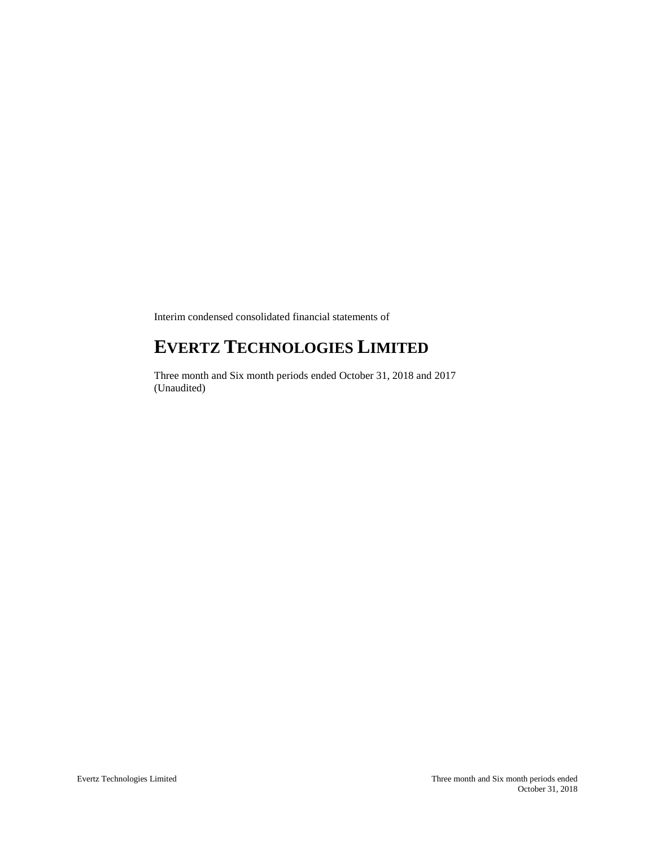Interim condensed consolidated financial statements of

# **EVERTZ TECHNOLOGIES LIMITED**

Three month and Six month periods ended October 31, 2018 and 2017 (Unaudited)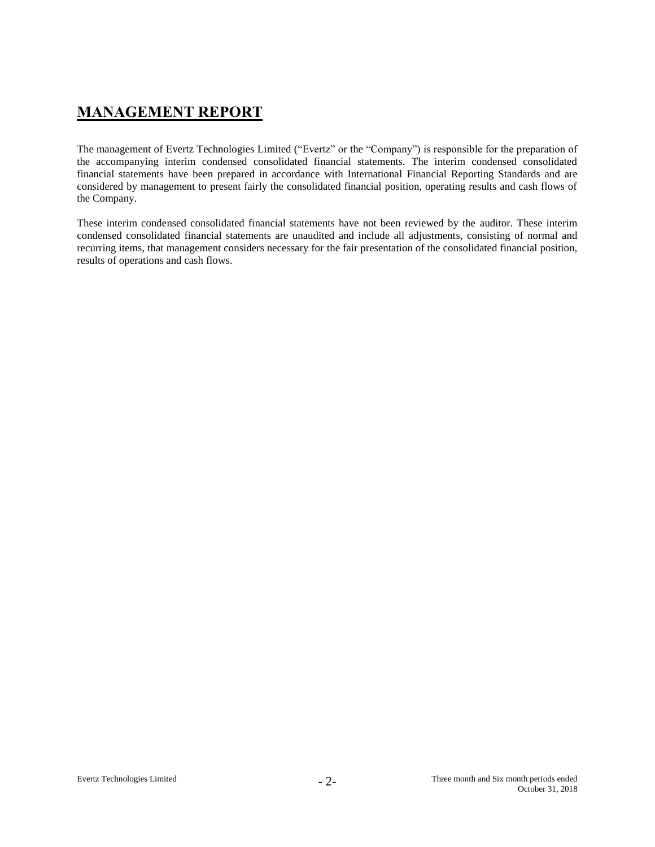## **MANAGEMENT REPORT**

The management of Evertz Technologies Limited ("Evertz" or the "Company") is responsible for the preparation of the accompanying interim condensed consolidated financial statements. The interim condensed consolidated financial statements have been prepared in accordance with International Financial Reporting Standards and are considered by management to present fairly the consolidated financial position, operating results and cash flows of the Company.

These interim condensed consolidated financial statements have not been reviewed by the auditor. These interim condensed consolidated financial statements are unaudited and include all adjustments, consisting of normal and recurring items, that management considers necessary for the fair presentation of the consolidated financial position, results of operations and cash flows.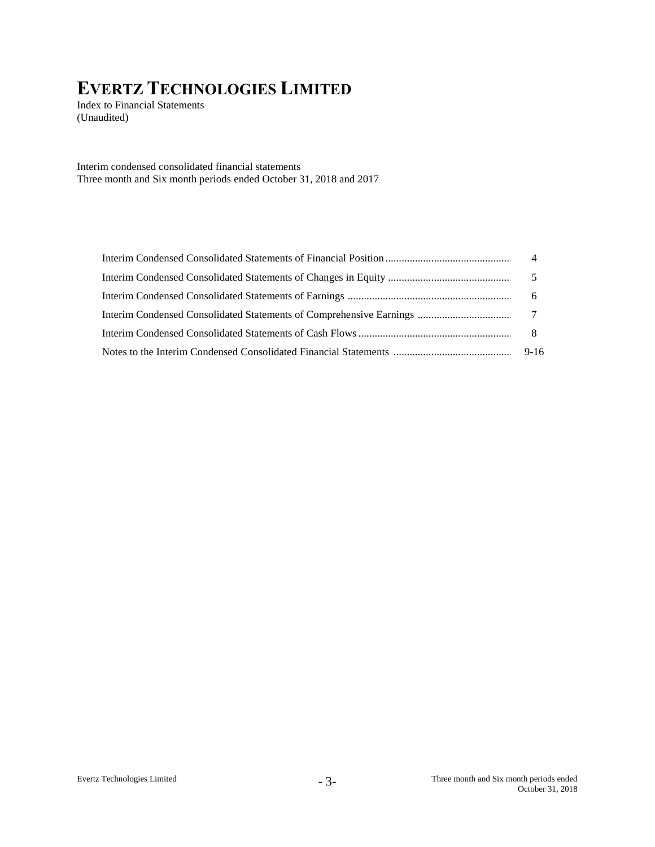Index to Financial Statements (Unaudited)

Interim condensed consolidated financial statements Three month and Six month periods ended October 31, 2018 and 2017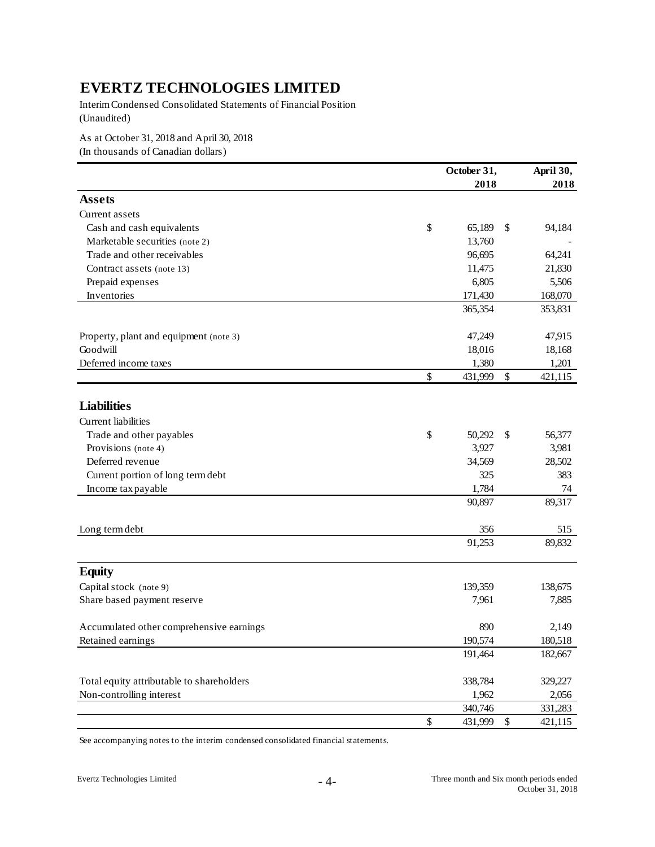Interim Condensed Consolidated Statements of Financial Position (Unaudited)

As at October 31, 2018 and April 30, 2018

(In thousands of Canadian dollars)

|                                           | October 31,   | April 30, |         |
|-------------------------------------------|---------------|-----------|---------|
|                                           | 2018          |           | 2018    |
| <b>Assets</b>                             |               |           |         |
| Current assets                            |               |           |         |
| Cash and cash equivalents                 | \$<br>65,189  | \$        | 94,184  |
| Marketable securities (note 2)            | 13,760        |           |         |
| Trade and other receivables               | 96,695        |           | 64,241  |
| Contract assets (note 13)                 | 11,475        |           | 21,830  |
| Prepaid expenses                          | 6,805         |           | 5,506   |
| Inventories                               | 171,430       |           | 168,070 |
|                                           | 365,354       |           | 353,831 |
| Property, plant and equipment (note 3)    | 47,249        |           | 47,915  |
| Goodwill                                  | 18,016        |           | 18,168  |
| Deferred income taxes                     | 1,380         |           | 1,201   |
|                                           | \$<br>431,999 | \$        | 421,115 |
|                                           |               |           |         |
| <b>Liabilities</b>                        |               |           |         |
| Current liabilities                       |               |           |         |
| Trade and other payables                  | \$<br>50,292  | \$        | 56,377  |
| Provisions (note 4)                       | 3,927         |           | 3,981   |
| Deferred revenue                          | 34,569        |           | 28,502  |
| Current portion of long term debt         | 325           |           | 383     |
| Income tax payable                        | 1,784         |           | 74      |
|                                           | 90,897        |           | 89,317  |
| Long term debt                            | 356           |           | 515     |
|                                           | 91,253        |           | 89,832  |
| <b>Equity</b>                             |               |           |         |
| Capital stock (note 9)                    | 139,359       |           | 138,675 |
| Share based payment reserve               | 7,961         |           | 7,885   |
| Accumulated other comprehensive earnings  | 890           |           | 2,149   |
| Retained earnings                         | 190,574       |           | 180,518 |
|                                           | 191,464       |           | 182,667 |
| Total equity attributable to shareholders | 338,784       |           | 329,227 |
| Non-controlling interest                  | 1,962         |           | 2,056   |
|                                           | 340,746       |           | 331,283 |
|                                           | \$<br>431,999 | $\$$      | 421,115 |
|                                           |               |           |         |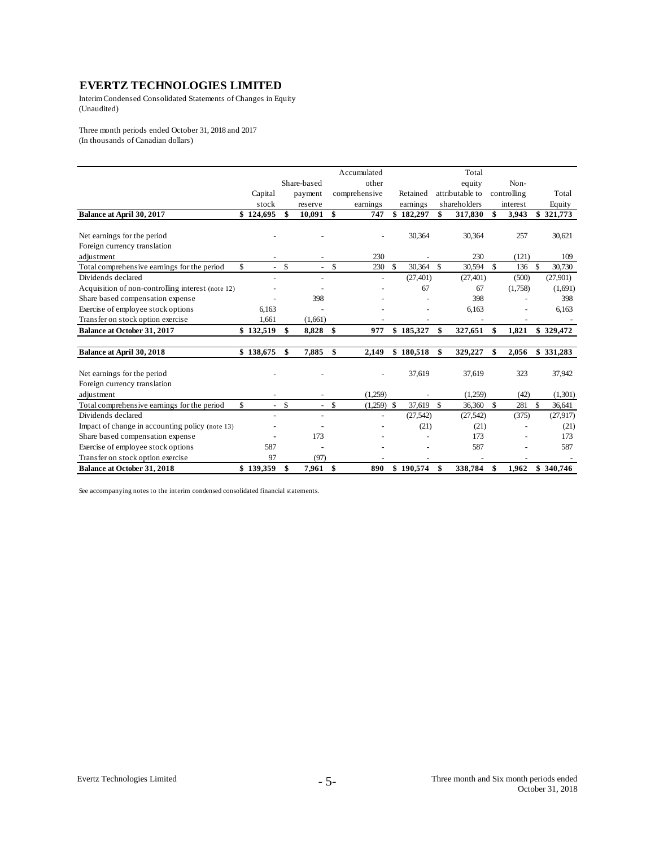Interim Condensed Consolidated Statements of Changes in Equity (Unaudited)

Three month periods ended October 31, 2018 and 2017 (In thousands of Canadian dollars)

|                                                   |           |                                |                          |     | Accumulated   |               |           | Total           |             |               |           |
|---------------------------------------------------|-----------|--------------------------------|--------------------------|-----|---------------|---------------|-----------|-----------------|-------------|---------------|-----------|
|                                                   |           |                                | Share-based              |     | other         |               |           | equity          | Non-        |               |           |
|                                                   | Capital   |                                | payment                  |     | comprehensive |               | Retained  | attributable to | controlling |               | Total     |
|                                                   | stock     |                                | reserve                  |     | earnings      |               | earnings  | shareholders    | interest    |               | Equity    |
| Balance at April 30, 2017                         | \$124,695 | \$                             | 10,091                   | \$  | 747           |               | \$182,297 | \$<br>317,830   | \$<br>3,943 |               | \$321,773 |
|                                                   |           |                                |                          |     |               |               |           |                 |             |               |           |
| Net earnings for the period                       |           |                                |                          |     |               |               | 30,364    | 30,364          | 257         |               | 30,621    |
| Foreign currency translation                      |           |                                |                          |     |               |               |           |                 |             |               |           |
| adjustment                                        |           |                                |                          |     | 230           |               |           | 230             | (121)       |               | 109       |
| Total comprehensive earnings for the period       | \$        | \$<br>$\omega_{\rm{eff}}$      | $\overline{\phantom{a}}$ | \$  | 230           | \$            | 30,364    | \$<br>30,594    | \$<br>136   | \$            | 30,730    |
| Dividends declared                                |           |                                |                          |     | ÷,            |               | (27, 401) | (27, 401)       | (500)       |               | (27,901)  |
| Acquisition of non-controlling interest (note 12) |           |                                |                          |     |               |               | 67        | 67              | (1,758)     |               | (1,691)   |
| Share based compensation expense                  |           |                                | 398                      |     |               |               |           | 398             |             |               | 398       |
| Exercise of employee stock options                | 6.163     |                                |                          |     |               |               |           | 6,163           |             |               | 6,163     |
| Transfer on stock option exercise                 | 1,661     |                                | (1,661)                  |     |               |               |           |                 |             |               |           |
| Balance at October 31, 2017                       | \$132,519 | \$                             | 8,828                    | -\$ | 977           |               | \$185,327 | \$<br>327,651   | \$<br>1,821 |               | \$329,472 |
|                                                   |           |                                |                          |     |               |               |           |                 |             |               |           |
| Balance at April 30, 2018                         | \$138,675 | \$                             | 7,885                    | \$  | 2,149         |               | \$180,518 | \$<br>329,227   | \$<br>2,056 |               | \$331,283 |
|                                                   |           |                                |                          |     |               |               |           |                 |             |               |           |
| Net earnings for the period                       |           |                                |                          |     |               |               | 37,619    | 37,619          | 323         |               | 37,942    |
| Foreign currency translation                      |           |                                |                          |     |               |               |           |                 |             |               |           |
| adjustment                                        |           |                                |                          |     | (1,259)       |               |           | (1,259)         | (42)        |               | (1,301)   |
| Total comprehensive earnings for the period       | \$        | \$<br>$\overline{\phantom{a}}$ | $\overline{\phantom{a}}$ | \$  | (1,259)       | $\mathcal{S}$ | 37,619    | \$<br>36,360    | \$<br>281   | $\mathcal{S}$ | 36,641    |
| Dividends declared                                |           |                                | $\overline{\phantom{a}}$ |     | ÷,            |               | (27, 542) | (27, 542)       | (375)       |               | (27, 917) |
| Impact of change in accounting policy (note 13)   |           |                                |                          |     |               |               | (21)      | (21)            |             |               | (21)      |
| Share based compensation expense                  |           |                                | 173                      |     |               |               |           | 173             |             |               | 173       |
| Exercise of employee stock options                | 587       |                                |                          |     |               |               |           | 587             |             |               | 587       |
| Transfer on stock option exercise                 | 97        |                                | (97)                     |     |               |               |           |                 |             |               |           |
| <b>Balance at October 31, 2018</b>                | \$139,359 | \$                             | 7,961                    | -\$ | 890           |               | \$190,574 | \$<br>338,784   | \$<br>1.962 |               | \$340,746 |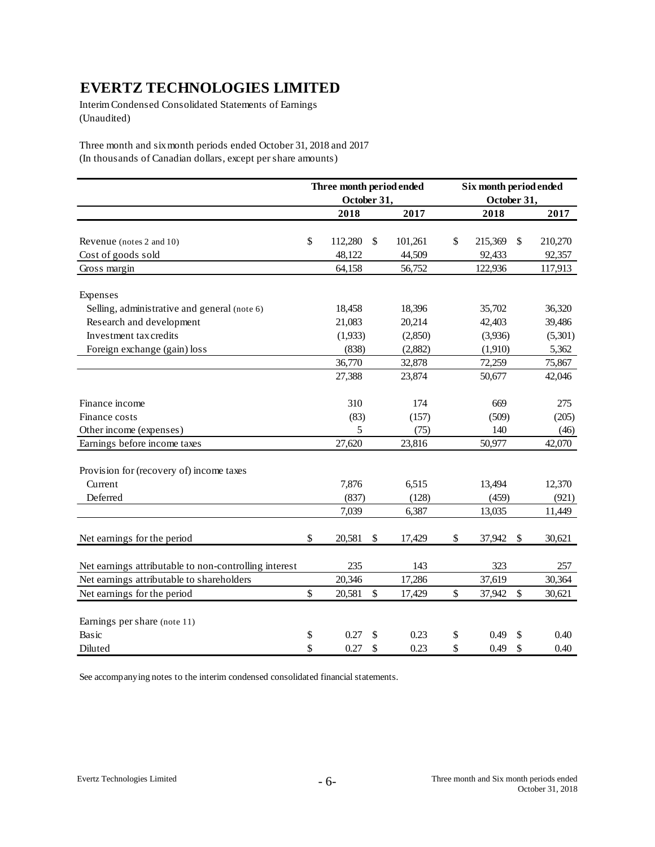Interim Condensed Consolidated Statements of Earnings (Unaudited)

Three month and six month periods ended October 31, 2018 and 2017 (In thousands of Canadian dollars, except per share amounts)

|                                                       | Three month period ended |             |    | Six month period ended |               |    |         |  |
|-------------------------------------------------------|--------------------------|-------------|----|------------------------|---------------|----|---------|--|
|                                                       |                          | October 31, |    |                        | October 31,   |    |         |  |
|                                                       |                          | 2018        |    | 2017                   | 2018          |    | 2017    |  |
|                                                       |                          |             |    |                        |               |    |         |  |
| Revenue (notes 2 and 10)                              | \$                       | 112,280     | \$ | 101,261                | \$<br>215,369 | \$ | 210,270 |  |
| Cost of goods sold                                    |                          | 48,122      |    | 44,509                 | 92,433        |    | 92,357  |  |
| Gross margin                                          |                          | 64,158      |    | 56,752                 | 122,936       |    | 117,913 |  |
| Expenses                                              |                          |             |    |                        |               |    |         |  |
| Selling, administrative and general (note 6)          |                          | 18,458      |    | 18,396                 | 35,702        |    | 36,320  |  |
| Research and development                              |                          | 21,083      |    | 20,214                 | 42,403        |    | 39,486  |  |
| Investment tax credits                                |                          | (1,933)     |    | (2,850)                | (3,936)       |    | (5,301) |  |
| Foreign exchange (gain) loss                          |                          | (838)       |    | (2,882)                | (1,910)       |    | 5,362   |  |
|                                                       |                          | 36,770      |    | 32,878                 | 72,259        |    | 75,867  |  |
|                                                       |                          | 27,388      |    | 23,874                 | 50,677        |    | 42,046  |  |
| Finance income                                        |                          | 310         |    | 174                    | 669           |    | 275     |  |
| Finance costs                                         |                          | (83)        |    | (157)                  | (509)         |    | (205)   |  |
| Other income (expenses)                               |                          | 5           |    | (75)                   | 140           |    | (46)    |  |
| Earnings before income taxes                          |                          | 27,620      |    | 23,816                 | 50,977        |    | 42,070  |  |
| Provision for (recovery of) income taxes              |                          |             |    |                        |               |    |         |  |
| Current                                               |                          | 7,876       |    | 6,515                  | 13,494        |    | 12,370  |  |
| Deferred                                              |                          | (837)       |    | (128)                  | (459)         |    | (921)   |  |
|                                                       |                          | 7,039       |    | 6,387                  | 13,035        |    | 11,449  |  |
| Net earnings for the period                           | \$                       | 20,581      | \$ | 17,429                 | \$<br>37,942  | \$ | 30,621  |  |
| Net earnings attributable to non-controlling interest |                          | 235         |    | 143                    | 323           |    | 257     |  |
| Net earnings attributable to shareholders             |                          | 20,346      |    | 17,286                 | 37,619        |    | 30,364  |  |
| Net earnings for the period                           | \$                       | 20,581      | \$ | 17,429                 | \$<br>37,942  | \$ | 30,621  |  |
| Earnings per share (note 11)                          |                          |             |    |                        |               |    |         |  |
| Basic                                                 | \$                       | 0.27        | \$ | 0.23                   | \$<br>0.49    | \$ | 0.40    |  |
| Diluted                                               | \$                       | 0.27        | \$ | 0.23                   | \$<br>0.49    | \$ | 0.40    |  |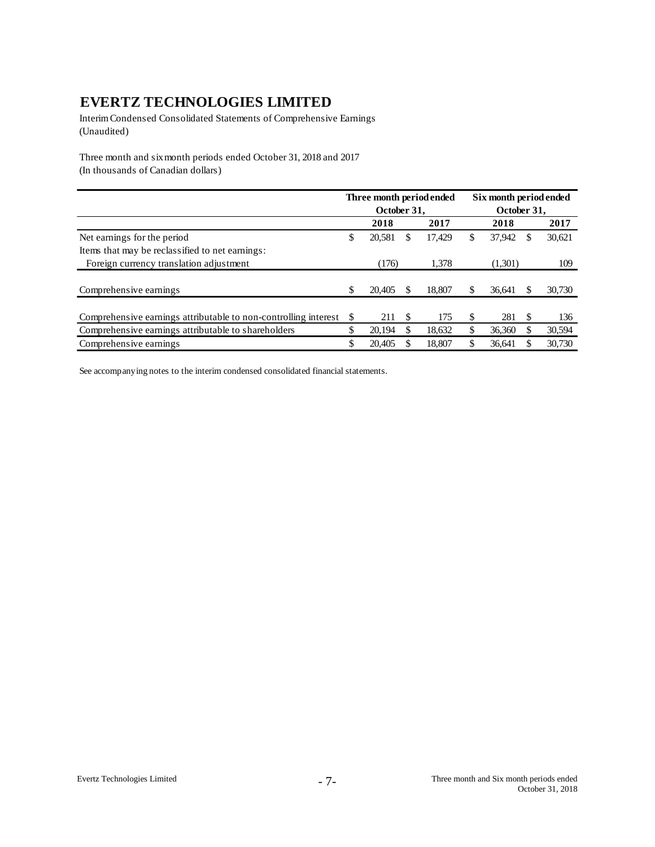Interim Condensed Consolidated Statements of Comprehensive Earnings (Unaudited)

Three month and six month periods ended October 31, 2018 and 2017 (In thousands of Canadian dollars)

|                                                                 |    |             |   | Three month period ended | Six month period ended |             |   |        |  |
|-----------------------------------------------------------------|----|-------------|---|--------------------------|------------------------|-------------|---|--------|--|
|                                                                 |    | October 31. |   |                          |                        | October 31. |   |        |  |
|                                                                 |    | 2018        |   | 2017                     |                        | 2018        |   | 2017   |  |
| Net earnings for the period                                     | \$ | 20,581      | S | 17.429                   | \$                     | 37,942      | S | 30,621 |  |
| Items that may be reclassified to net earnings:                 |    |             |   |                          |                        |             |   |        |  |
| Foreign currency translation adjustment                         |    | (176)       |   | 1,378                    |                        | (1,301)     |   | 109    |  |
|                                                                 |    |             |   |                          |                        |             |   |        |  |
| Comprehensive earnings                                          | \$ | 20.405      |   | 18.807                   |                        | 36.641      |   | 30,730 |  |
|                                                                 |    |             |   |                          |                        |             |   |        |  |
| Comprehensive earnings attributable to non-controlling interest | S  | 211         | S | 175                      |                        | 281         | S | 136    |  |
| Comprehensive earnings attributable to shareholders             | \$ | 20.194      | S | 18.632                   | \$                     | 36,360      |   | 30,594 |  |
| Comprehensive earnings                                          |    | 20.405      |   | 18.807                   |                        | 36.641      |   | 30,730 |  |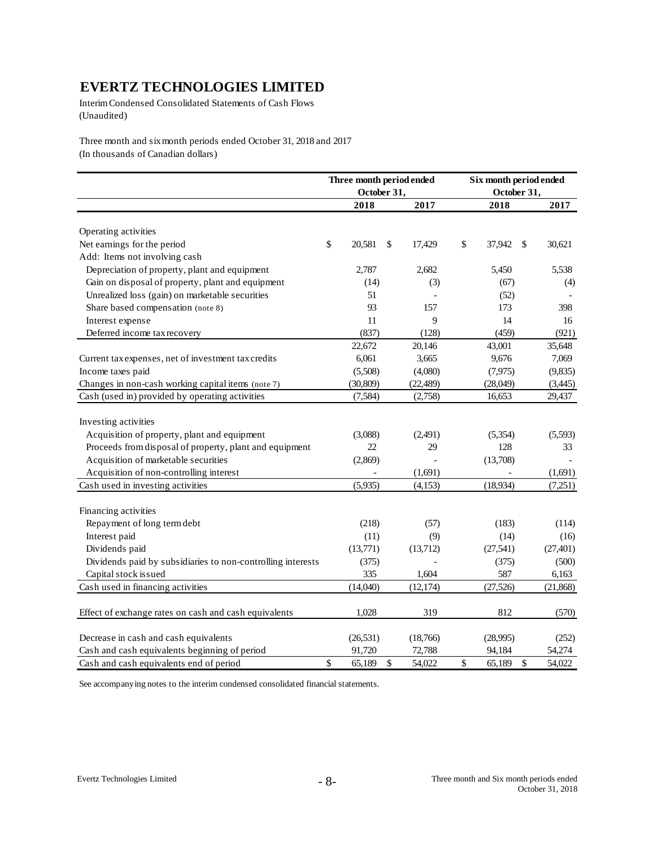Interim Condensed Consolidated Statements of Cash Flows (Unaudited)

Three month and six month periods ended October 31, 2018 and 2017 (In thousands of Canadian dollars)

|                                                             | Three month period ended<br>October 31, |              | Six month period ended<br>October 31, |               |           |
|-------------------------------------------------------------|-----------------------------------------|--------------|---------------------------------------|---------------|-----------|
|                                                             | 2018                                    | 2017         | 2018                                  |               | 2017      |
|                                                             |                                         |              |                                       |               |           |
| Operating activities                                        |                                         |              |                                       |               |           |
| Net earnings for the period                                 | \$<br>20,581                            | \$<br>17,429 | \$<br>37,942                          | \$            | 30,621    |
| Add: Items not involving cash                               |                                         |              |                                       |               |           |
| Depreciation of property, plant and equipment               | 2,787                                   | 2,682        | 5,450                                 |               | 5,538     |
| Gain on disposal of property, plant and equipment           | (14)                                    | (3)          | (67)                                  |               | (4)       |
| Unrealized loss (gain) on marketable securities             | 51                                      |              | (52)                                  |               |           |
| Share based compensation (note 8)                           | 93                                      | 157          | 173                                   |               | 398       |
| Interest expense                                            | 11                                      | 9            | 14                                    |               | 16        |
| Deferred income tax recovery                                | (837)                                   | (128)        | (459)                                 |               | (921)     |
|                                                             | 22,672                                  | 20,146       | 43,001                                |               | 35,648    |
| Current tax expenses, net of investment tax credits         | 6,061                                   | 3,665        | 9,676                                 |               | 7,069     |
| Income taxes paid                                           | (5,508)                                 | (4,080)      | (7, 975)                              |               | (9,835)   |
| Changes in non-cash working capital items (note 7)          | (30, 809)                               | (22, 489)    | (28,049)                              |               | (3,445)   |
| Cash (used in) provided by operating activities             | (7, 584)                                | (2,758)      | 16,653                                |               | 29,437    |
|                                                             |                                         |              |                                       |               |           |
| Investing activities                                        |                                         |              |                                       |               |           |
| Acquisition of property, plant and equipment                | (3,088)                                 | (2,491)      | (5, 354)                              |               | (5,593)   |
| Proceeds from disposal of property, plant and equipment     | 22                                      | 29           | 128                                   |               | 33        |
| Acquisition of marketable securities                        | (2,869)                                 |              | (13,708)                              |               |           |
| Acquisition of non-controlling interest                     |                                         | (1,691)      |                                       |               | (1,691)   |
| Cash used in investing activities                           | (5,935)                                 | (4,153)      | (18,934)                              |               | (7,251)   |
|                                                             |                                         |              |                                       |               |           |
| Financing activities                                        |                                         |              |                                       |               |           |
| Repayment of long term debt                                 | (218)                                   | (57)         | (183)                                 |               | (114)     |
| Interest paid                                               | (11)                                    | (9)          | (14)                                  |               | (16)      |
| Dividends paid                                              | (13,771)                                | (13,712)     | (27, 541)                             |               | (27, 401) |
| Dividends paid by subsidiaries to non-controlling interests | (375)                                   |              | (375)                                 |               | (500)     |
| Capital stock issued                                        | 335                                     | 1,604        | 587                                   |               | 6,163     |
| Cash used in financing activities                           | (14,040)                                | (12, 174)    | (27, 526)                             |               | (21, 868) |
|                                                             |                                         |              |                                       |               |           |
| Effect of exchange rates on cash and cash equivalents       | 1,028                                   | 319          | 812                                   |               | (570)     |
|                                                             |                                         |              |                                       |               |           |
| Decrease in cash and cash equivalents                       | (26, 531)                               | (18,766)     | (28,995)                              |               | (252)     |
| Cash and cash equivalents beginning of period               | 91,720                                  | 72,788       | 94,184                                |               | 54,274    |
| Cash and cash equivalents end of period                     | \$<br>65,189                            | \$<br>54,022 | \$<br>65,189                          | $\mathcal{S}$ | 54,022    |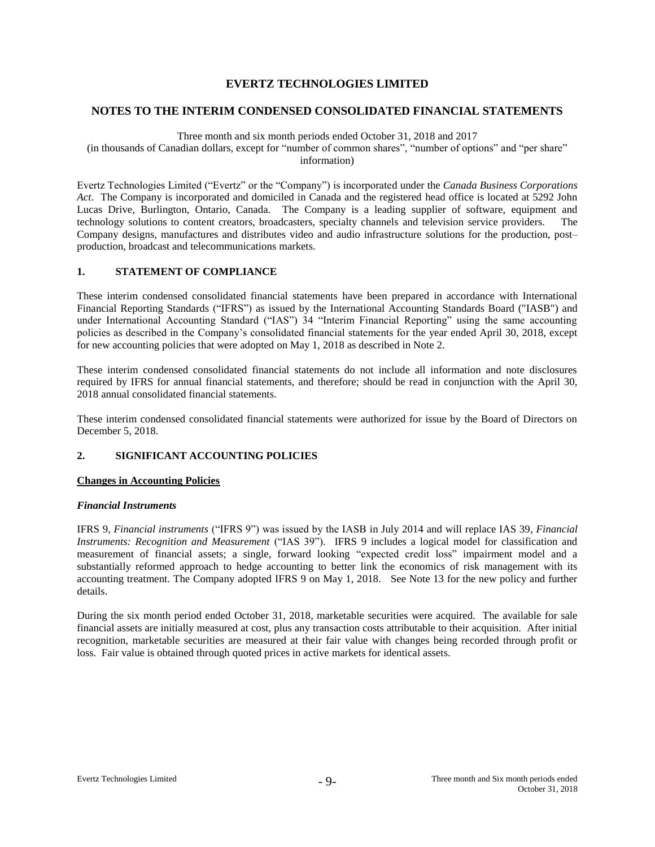## **NOTES TO THE INTERIM CONDENSED CONSOLIDATED FINANCIAL STATEMENTS**

## Three month and six month periods ended October 31, 2018 and 2017

(in thousands of Canadian dollars, except for "number of common shares", "number of options" and "per share" information)

Evertz Technologies Limited ("Evertz" or the "Company") is incorporated under the *Canada Business Corporations Act*. The Company is incorporated and domiciled in Canada and the registered head office is located at 5292 John Lucas Drive, Burlington, Ontario, Canada. The Company is a leading supplier of software, equipment and technology solutions to content creators, broadcasters, specialty channels and television service providers. The Company designs, manufactures and distributes video and audio infrastructure solutions for the production, post– production, broadcast and telecommunications markets.

## **1. STATEMENT OF COMPLIANCE**

These interim condensed consolidated financial statements have been prepared in accordance with International Financial Reporting Standards ("IFRS") as issued by the International Accounting Standards Board ("IASB") and under International Accounting Standard ("IAS") 34 "Interim Financial Reporting" using the same accounting policies as described in the Company's consolidated financial statements for the year ended April 30, 2018, except for new accounting policies that were adopted on May 1, 2018 as described in Note 2.

These interim condensed consolidated financial statements do not include all information and note disclosures required by IFRS for annual financial statements, and therefore; should be read in conjunction with the April 30, 2018 annual consolidated financial statements.

These interim condensed consolidated financial statements were authorized for issue by the Board of Directors on December 5, 2018.

## **2. SIGNIFICANT ACCOUNTING POLICIES**

## **Changes in Accounting Policies**

### *Financial Instruments*

IFRS 9, *Financial instruments* ("IFRS 9") was issued by the IASB in July 2014 and will replace IAS 39, *Financial Instruments: Recognition and Measurement* ("IAS 39"). IFRS 9 includes a logical model for classification and measurement of financial assets; a single, forward looking "expected credit loss" impairment model and a substantially reformed approach to hedge accounting to better link the economics of risk management with its accounting treatment. The Company adopted IFRS 9 on May 1, 2018. See Note 13 for the new policy and further details.

During the six month period ended October 31, 2018, marketable securities were acquired. The available for sale financial assets are initially measured at cost, plus any transaction costs attributable to their acquisition. After initial recognition, marketable securities are measured at their fair value with changes being recorded through profit or loss. Fair value is obtained through quoted prices in active markets for identical assets.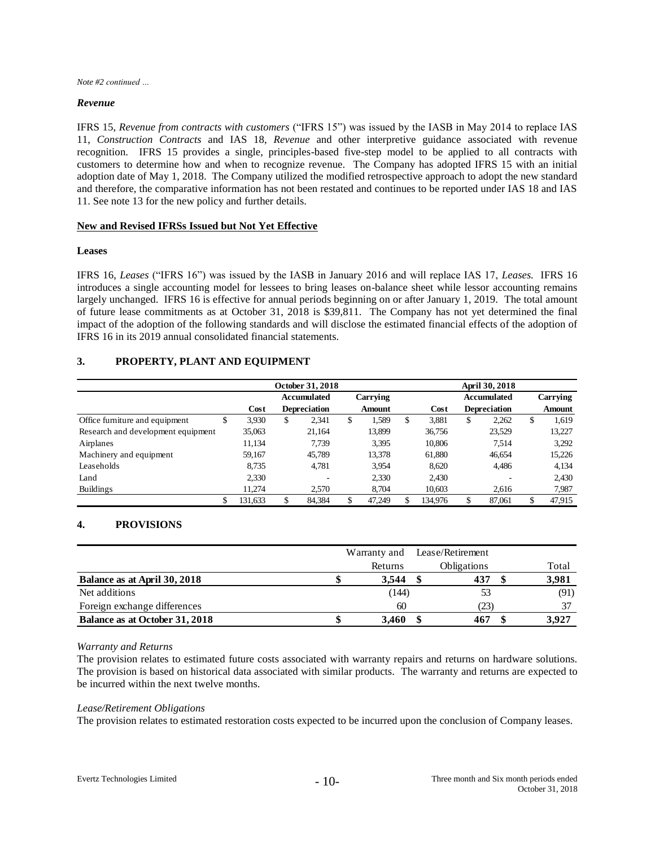*Note #2 continued …*

## *Revenue*

IFRS 15, *Revenue from contracts with customers* ("IFRS 15") was issued by the IASB in May 2014 to replace IAS 11, *Construction Contracts* and IAS 18, *Revenue* and other interpretive guidance associated with revenue recognition. IFRS 15 provides a single, principles-based five-step model to be applied to all contracts with customers to determine how and when to recognize revenue. The Company has adopted IFRS 15 with an initial adoption date of May 1, 2018. The Company utilized the modified retrospective approach to adopt the new standard and therefore, the comparative information has not been restated and continues to be reported under IAS 18 and IAS 11. See note 13 for the new policy and further details.

## **New and Revised IFRSs Issued but Not Yet Effective**

## **Leases**

IFRS 16, *Leases* ("IFRS 16") was issued by the IASB in January 2016 and will replace IAS 17, *Leases.* IFRS 16 introduces a single accounting model for lessees to bring leases on-balance sheet while lessor accounting remains largely unchanged. IFRS 16 is effective for annual periods beginning on or after January 1, 2019. The total amount of future lease commitments as at October 31, 2018 is \$39,811. The Company has not yet determined the final impact of the adoption of the following standards and will disclose the estimated financial effects of the adoption of IFRS 16 in its 2019 annual consolidated financial statements.

## **3. PROPERTY, PLANT AND EQUIPMENT**

|                                    | October 31, 2018 |    |                     |    |               |    | <b>April 30, 2018</b> |    |                     |    |          |  |
|------------------------------------|------------------|----|---------------------|----|---------------|----|-----------------------|----|---------------------|----|----------|--|
|                                    |                  |    | <b>Accumulated</b>  |    | Carrying      |    |                       |    | <b>Accumulated</b>  |    | Carrying |  |
|                                    | Cost             |    | <b>Depreciation</b> |    | <b>Amount</b> |    | Cost                  |    | <b>Depreciation</b> |    | Amount   |  |
| Office furniture and equipment     | \$<br>3,930      | \$ | 2,341               | \$ | 1,589         | \$ | 3.881                 | \$ | 2.262               | \$ | 1,619    |  |
| Research and development equipment | 35,063           |    | 21,164              |    | 13,899        |    | 36,756                |    | 23,529              |    | 13,227   |  |
| Airplanes                          | 11,134           |    | 7.739               |    | 3,395         |    | 10.806                |    | 7.514               |    | 3,292    |  |
| Machinery and equipment            | 59,167           |    | 45,789              |    | 13,378        |    | 61,880                |    | 46,654              |    | 15,226   |  |
| Leaseholds                         | 8.735            |    | 4.781               |    | 3.954         |    | 8.620                 |    | 4.486               |    | 4,134    |  |
| Land                               | 2,330            |    |                     |    | 2,330         |    | 2,430                 |    |                     |    | 2,430    |  |
| Buildings                          | 11.274           |    | 2.570               |    | 8.704         |    | 10,603                |    | 2.616               |    | 7,987    |  |
|                                    | 131,633          |    | 84,384              |    | 47,249        |    | 134.976               |    | 87,061              |    | 47,915   |  |

## **4. PROVISIONS**

|                                | Warranty and | Lease/Retirement   |       |
|--------------------------------|--------------|--------------------|-------|
|                                | Returns      | <b>Obligations</b> | Total |
| Balance as at April 30, 2018   | 3.544        | 437                | 3,981 |
| Net additions                  | (144)        | 53                 | (91)  |
| Foreign exchange differences   | 60           | (23)               | 37    |
| Balance as at October 31, 2018 | 3.460        | 467                | 3.927 |

## *Warranty and Returns*

The provision relates to estimated future costs associated with warranty repairs and returns on hardware solutions. The provision is based on historical data associated with similar products. The warranty and returns are expected to be incurred within the next twelve months.

### *Lease/Retirement Obligations*

The provision relates to estimated restoration costs expected to be incurred upon the conclusion of Company leases.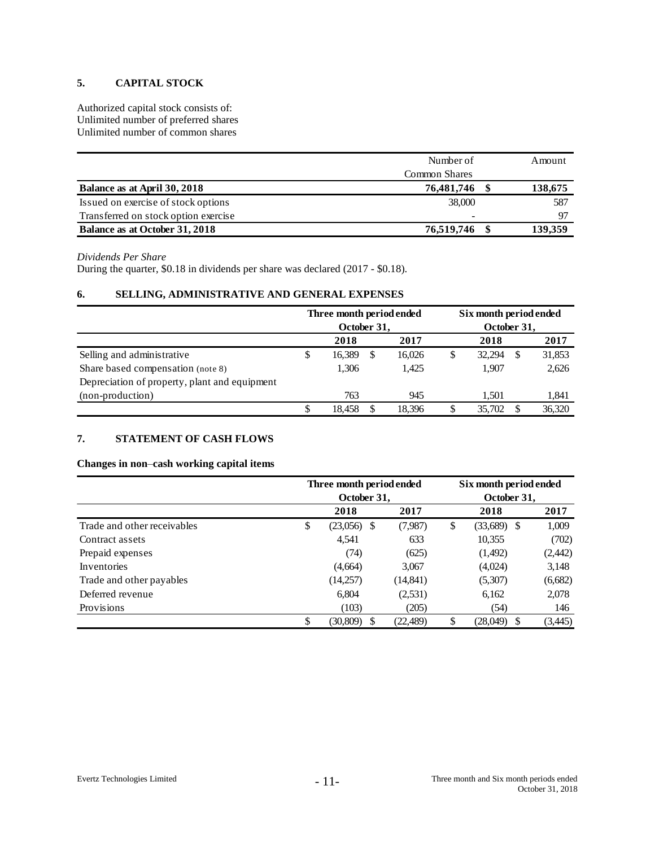## **5. CAPITAL STOCK**

Authorized capital stock consists of: Unlimited number of preferred shares Unlimited number of common shares

|                                      | Number of            | Amount  |
|--------------------------------------|----------------------|---------|
|                                      | <b>Common Shares</b> |         |
| Balance as at April 30, 2018         | 76,481,746           | 138,675 |
| Issued on exercise of stock options  | 38,000               | 587     |
| Transferred on stock option exercise | -                    | 97      |
| Balance as at October 31, 2018       | 76,519,746           | 139,359 |

### *Dividends Per Share*

During the quarter, \$0.18 in dividends per share was declared (2017 - \$0.18).

## **6. SELLING, ADMINISTRATIVE AND GENERAL EXPENSES**

|                                               |    | Three month period ended |    |        |             | Six month period ended |   |        |  |
|-----------------------------------------------|----|--------------------------|----|--------|-------------|------------------------|---|--------|--|
|                                               |    | October 31,              |    |        | October 31, |                        |   |        |  |
|                                               |    | 2018                     |    | 2017   |             | 2018                   |   | 2017   |  |
| Selling and administrative                    | \$ | 16,389                   | \$ | 16,026 | \$          | 32,294                 | S | 31,853 |  |
| Share based compensation (note 8)             |    | 1.306                    |    | 1.425  |             | 1,907                  |   | 2,626  |  |
| Depreciation of property, plant and equipment |    |                          |    |        |             |                        |   |        |  |
| (non-production)                              |    | 763                      |    | 945    |             | 1.501                  |   | 1,841  |  |
|                                               | S  | 18.458                   | S  | 18.396 | \$          | 35,702                 |   | 36,320 |  |

## **7. STATEMENT OF CASH FLOWS**

## **Changes in non**–**cash working capital items**

|                             | Three month period ended        |           |    | Six month period ended |         |  |  |  |
|-----------------------------|---------------------------------|-----------|----|------------------------|---------|--|--|--|
|                             | October 31,<br>October 31,      |           |    |                        |         |  |  |  |
|                             | 2018                            | 2017      |    | 2018                   | 2017    |  |  |  |
| Trade and other receivables | \$<br>(23,056)<br><sup>\$</sup> | (7,987)   | \$ | $(33,689)$ \$          | 1,009   |  |  |  |
| Contract assets             | 4,541                           | 633       |    | 10,355                 | (702)   |  |  |  |
| Prepaid expenses            | (74)                            | (625)     |    | (1,492)                | (2,442) |  |  |  |
| <b>Inventories</b>          | (4,664)                         | 3,067     |    | (4,024)                | 3,148   |  |  |  |
| Trade and other payables    | (14,257)                        | (14, 841) |    | (5,307)                | (6,682) |  |  |  |
| Deferred revenue            | 6,804                           | (2, 531)  |    | 6,162                  | 2,078   |  |  |  |
| Provisions                  | (103)                           | (205)     |    | (54)                   | 146     |  |  |  |
|                             | \$<br>(30,809)                  | (22,489)  | \$ | (28,049)<br>\$         | (3,445) |  |  |  |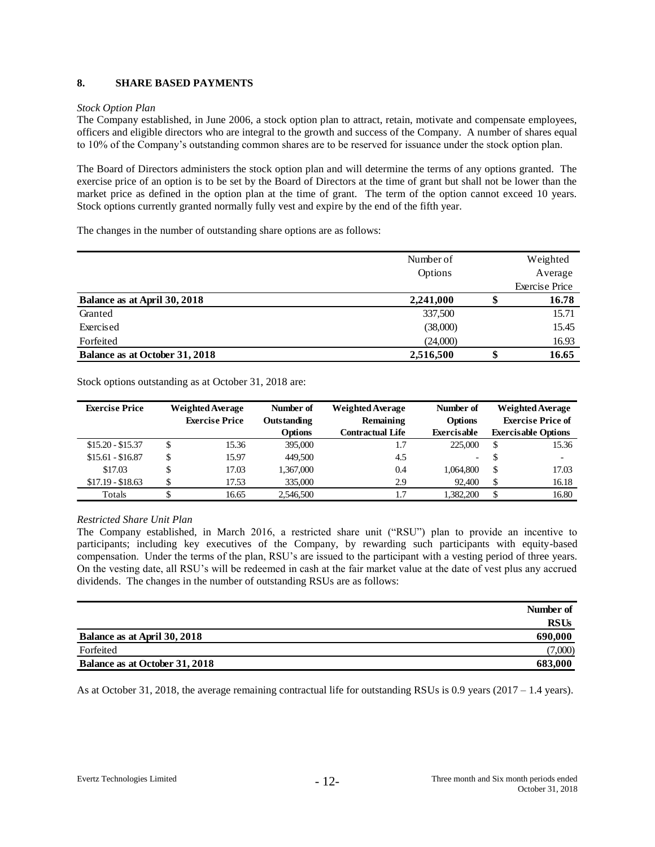## **8. SHARE BASED PAYMENTS**

## *Stock Option Plan*

The Company established, in June 2006, a stock option plan to attract, retain, motivate and compensate employees, officers and eligible directors who are integral to the growth and success of the Company. A number of shares equal to 10% of the Company's outstanding common shares are to be reserved for issuance under the stock option plan.

The Board of Directors administers the stock option plan and will determine the terms of any options granted. The exercise price of an option is to be set by the Board of Directors at the time of grant but shall not be lower than the market price as defined in the option plan at the time of grant. The term of the option cannot exceed 10 years. Stock options currently granted normally fully vest and expire by the end of the fifth year.

The changes in the number of outstanding share options are as follows:

|                                | Number of |    | Weighted              |
|--------------------------------|-----------|----|-----------------------|
|                                | Options   |    | Average               |
|                                |           |    | <b>Exercise Price</b> |
| Balance as at April 30, 2018   | 2,241,000 |    | 16.78                 |
| Granted                        | 337,500   |    | 15.71                 |
| Exercised                      | (38,000)  |    | 15.45                 |
| Forfeited                      | (24,000)  |    | 16.93                 |
| Balance as at October 31, 2018 | 2,516,500 | аB | 16.65                 |

Stock options outstanding as at October 31, 2018 are:

| <b>Exercise Price</b> | <b>Weighted Average</b> |       | Number of          |                  | Number of      |                          | <b>Weighted Average</b>    |
|-----------------------|-------------------------|-------|--------------------|------------------|----------------|--------------------------|----------------------------|
|                       | <b>Exercise Price</b>   |       | <b>Outstanding</b> | Remaining        | <b>Options</b> | <b>Exercise Price of</b> |                            |
|                       |                         |       | Options            | Contractual Life | Exercisable    |                          | <b>Exercisable Options</b> |
| $$15.20 - $15.37$     | \$                      | 15.36 | 395,000            | 1.7              | 225,000        | \$                       | 15.36                      |
| $$15.61 - $16.87$     | \$                      | 15.97 | 449,500            | 4.5              | -              | S                        |                            |
| \$17.03               | \$                      | 17.03 | 1,367,000          | 0.4              | 1.064.800      | \$                       | 17.03                      |
| $$17.19 - $18.63$     |                         | 17.53 | 335,000            | 2.9              | 92,400         | \$                       | 16.18                      |
| Totals                |                         | 16.65 | 2,546,500          |                  | 1.382.200      | \$                       | 16.80                      |

## *Restricted Share Unit Plan*

The Company established, in March 2016, a restricted share unit ("RSU") plan to provide an incentive to participants; including key executives of the Company, by rewarding such participants with equity-based compensation. Under the terms of the plan, RSU's are issued to the participant with a vesting period of three years. On the vesting date, all RSU's will be redeemed in cash at the fair market value at the date of vest plus any accrued dividends. The changes in the number of outstanding RSUs are as follows:

|                                | Number of   |
|--------------------------------|-------------|
|                                | <b>RSUs</b> |
| Balance as at April 30, 2018   | 690,000     |
| Forfeited                      | (7,000)     |
| Balance as at October 31, 2018 | 683,000     |

As at October 31, 2018, the average remaining contractual life for outstanding RSUs is 0.9 years ( $2017 - 1.4$  years).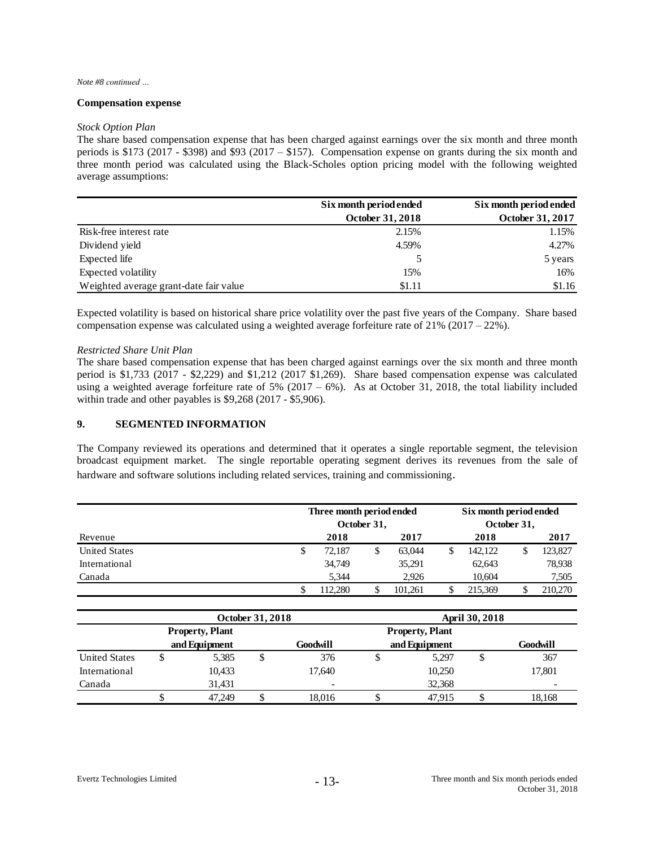#### *Note #8 continued …*

### **Compensation expense**

#### *Stock Option Plan*

The share based compensation expense that has been charged against earnings over the six month and three month periods is \$173 (2017 - \$398) and \$93 (2017 – \$157). Compensation expense on grants during the six month and three month period was calculated using the Black-Scholes option pricing model with the following weighted average assumptions:

|                                        | Six month period ended  | Six month period ended |
|----------------------------------------|-------------------------|------------------------|
|                                        | <b>October 31, 2018</b> | October 31, 2017       |
| Risk-free interest rate                | 2.15%                   | 1.15%                  |
| Dividend yield                         | 4.59%                   | 4.27%                  |
| Expected life                          |                         | 5 years                |
| Expected volatility                    | 15%                     | 16%                    |
| Weighted average grant-date fair value | \$1.11                  | \$1.16                 |

Expected volatility is based on historical share price volatility over the past five years of the Company. Share based compensation expense was calculated using a weighted average forfeiture rate of 21% (2017 – 22%).

#### *Restricted Share Unit Plan*

The share based compensation expense that has been charged against earnings over the six month and three month period is \$1,733 (2017 - \$2,229) and \$1,212 (2017 \$1,269). Share based compensation expense was calculated using a weighted average forfeiture rate of  $5\%$  (2017 – 6%). As at October 31, 2018, the total liability included within trade and other payables is \$9,268 (2017 - \$5,906).

### **9. SEGMENTED INFORMATION**

The Company reviewed its operations and determined that it operates a single reportable segment, the television broadcast equipment market. The single reportable operating segment derives its revenues from the sale of hardware and software solutions including related services, training and commissioning.

|                      | Three month period ended<br>October 31, |        |  |         | Six month period ended<br>October 31, |  |         |  |
|----------------------|-----------------------------------------|--------|--|---------|---------------------------------------|--|---------|--|
| Revenue              |                                         | 2018   |  | 2017    | 2018                                  |  | 2017    |  |
| <b>United States</b> | S                                       | 72.187 |  | 63.044  | \$<br>142.122                         |  | 123,827 |  |
| International        |                                         | 34,749 |  | 35,291  | 62.643                                |  | 78,938  |  |
| Canada               |                                         | 5.344  |  | 2.926   | 10.604                                |  | 7,505   |  |
|                      |                                         | 12.280 |  | 101.261 | 215,369                               |  | 210,270 |  |

|                      | October 31, 2018       |        |          |                          |                        | <b>April 30, 2018</b> |          |        |  |  |  |
|----------------------|------------------------|--------|----------|--------------------------|------------------------|-----------------------|----------|--------|--|--|--|
|                      | <b>Property, Plant</b> |        |          |                          | <b>Property, Plant</b> |                       |          |        |  |  |  |
|                      | and Equipment          |        | Goodwill | and Equipment            |                        |                       | Goodwill |        |  |  |  |
| <b>United States</b> |                        | 5,385  |          | 376                      |                        | 5,297                 | Φ        | 367    |  |  |  |
| International        |                        | 10,433 |          | 17.640                   |                        | 10,250                |          | 17,801 |  |  |  |
| Canada               |                        | 31.431 |          | $\overline{\phantom{a}}$ |                        | 32,368                |          |        |  |  |  |
|                      | Φ                      | 47.249 |          | 18.016                   |                        | 47.915                |          | 18,168 |  |  |  |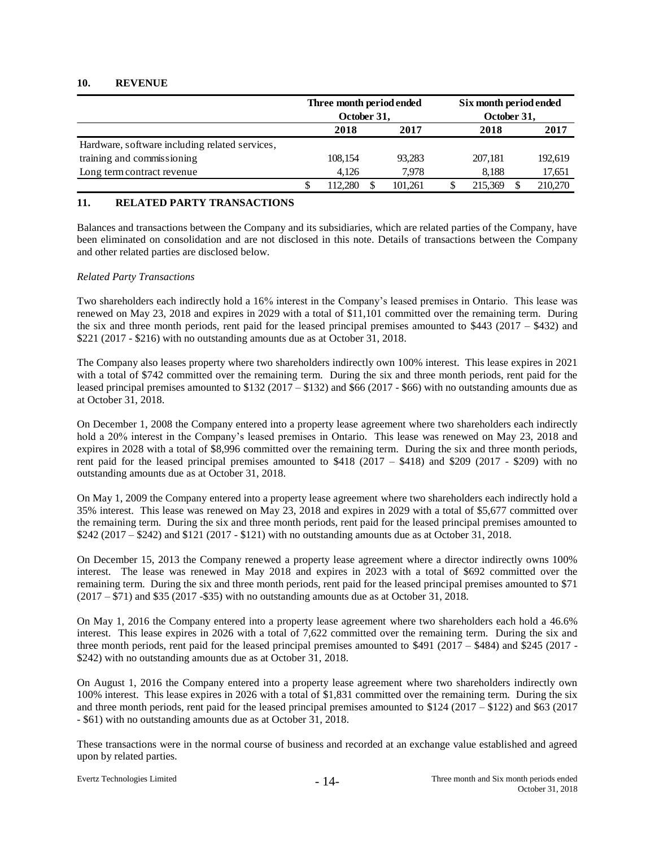## **10. REVENUE**

|                                                | Three month period ended |         | Six month period ended |             |         |  |         |
|------------------------------------------------|--------------------------|---------|------------------------|-------------|---------|--|---------|
|                                                | October 31,              |         |                        | October 31, |         |  |         |
|                                                | 2018<br>2017             |         | 2018                   |             | 2017    |  |         |
| Hardware, software including related services, |                          |         |                        |             |         |  |         |
| training and commissioning                     |                          | 108.154 |                        | 93.283      | 207.181 |  | 192,619 |
| Long term contract revenue                     |                          | 4.126   |                        | 7.978       | 8.188   |  | 17,651  |
|                                                |                          | 112.280 |                        | 101.261     | 215,369 |  | 210,270 |

## **11. RELATED PARTY TRANSACTIONS**

Balances and transactions between the Company and its subsidiaries, which are related parties of the Company, have been eliminated on consolidation and are not disclosed in this note. Details of transactions between the Company and other related parties are disclosed below.

## *Related Party Transactions*

Two shareholders each indirectly hold a 16% interest in the Company's leased premises in Ontario. This lease was renewed on May 23, 2018 and expires in 2029 with a total of \$11,101 committed over the remaining term. During the six and three month periods, rent paid for the leased principal premises amounted to \$443 (2017 – \$432) and \$221 (2017 - \$216) with no outstanding amounts due as at October 31, 2018.

The Company also leases property where two shareholders indirectly own 100% interest. This lease expires in 2021 with a total of \$742 committed over the remaining term. During the six and three month periods, rent paid for the leased principal premises amounted to \$132 (2017 – \$132) and \$66 (2017 - \$66) with no outstanding amounts due as at October 31, 2018.

On December 1, 2008 the Company entered into a property lease agreement where two shareholders each indirectly hold a 20% interest in the Company's leased premises in Ontario. This lease was renewed on May 23, 2018 and expires in 2028 with a total of \$8,996 committed over the remaining term. During the six and three month periods, rent paid for the leased principal premises amounted to \$418 (2017 – \$418) and \$209 (2017 - \$209) with no outstanding amounts due as at October 31, 2018.

On May 1, 2009 the Company entered into a property lease agreement where two shareholders each indirectly hold a 35% interest. This lease was renewed on May 23, 2018 and expires in 2029 with a total of \$5,677 committed over the remaining term. During the six and three month periods, rent paid for the leased principal premises amounted to \$242 (2017 – \$242) and \$121 (2017 - \$121) with no outstanding amounts due as at October 31, 2018.

On December 15, 2013 the Company renewed a property lease agreement where a director indirectly owns 100% interest. The lease was renewed in May 2018 and expires in 2023 with a total of \$692 committed over the remaining term. During the six and three month periods, rent paid for the leased principal premises amounted to \$71 (2017 – \$71) and \$35 (2017 -\$35) with no outstanding amounts due as at October 31, 2018.

On May 1, 2016 the Company entered into a property lease agreement where two shareholders each hold a 46.6% interest. This lease expires in 2026 with a total of 7,622 committed over the remaining term. During the six and three month periods, rent paid for the leased principal premises amounted to \$491 (2017 – \$484) and \$245 (2017 - \$242) with no outstanding amounts due as at October 31, 2018.

On August 1, 2016 the Company entered into a property lease agreement where two shareholders indirectly own 100% interest. This lease expires in 2026 with a total of \$1,831 committed over the remaining term. During the six and three month periods, rent paid for the leased principal premises amounted to \$124 (2017 – \$122) and \$63 (2017 - \$61) with no outstanding amounts due as at October 31, 2018.

These transactions were in the normal course of business and recorded at an exchange value established and agreed upon by related parties.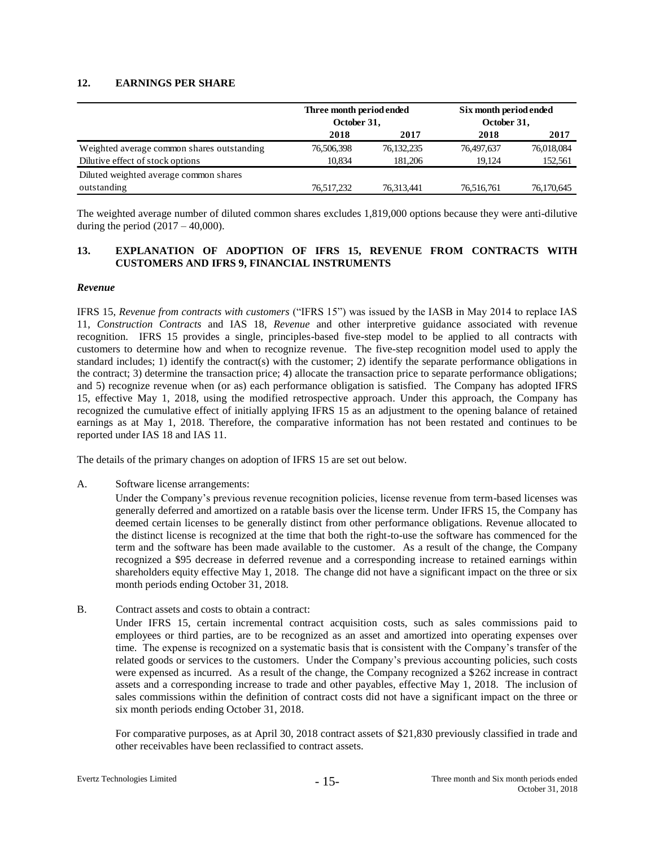## **12. EARNINGS PER SHARE**

|                                            | Three month period ended<br>October 31, |              | Six month period ended<br>October 31, |            |  |
|--------------------------------------------|-----------------------------------------|--------------|---------------------------------------|------------|--|
|                                            | 2018                                    | 2017         | 2018                                  | 2017       |  |
| Weighted average common shares outstanding | 76,506,398                              | 76, 132, 235 | 76,497,637                            | 76,018,084 |  |
| Dilutive effect of stock options           | 10.834                                  | 181.206      | 19.124                                | 152,561    |  |
| Diluted weighted average common shares     |                                         |              |                                       |            |  |
| outstanding                                | 76,517,232                              | 76,313,441   | 76,516,761                            | 76,170,645 |  |

The weighted average number of diluted common shares excludes 1,819,000 options because they were anti-dilutive during the period  $(2017 - 40,000)$ .

## **13. EXPLANATION OF ADOPTION OF IFRS 15, REVENUE FROM CONTRACTS WITH CUSTOMERS AND IFRS 9, FINANCIAL INSTRUMENTS**

### *Revenue*

IFRS 15, *Revenue from contracts with customers* ("IFRS 15") was issued by the IASB in May 2014 to replace IAS 11, *Construction Contracts* and IAS 18, *Revenue* and other interpretive guidance associated with revenue recognition. IFRS 15 provides a single, principles-based five-step model to be applied to all contracts with customers to determine how and when to recognize revenue. The five-step recognition model used to apply the standard includes; 1) identify the contract(s) with the customer; 2) identify the separate performance obligations in the contract; 3) determine the transaction price; 4) allocate the transaction price to separate performance obligations; and 5) recognize revenue when (or as) each performance obligation is satisfied. The Company has adopted IFRS 15, effective May 1, 2018, using the modified retrospective approach. Under this approach, the Company has recognized the cumulative effect of initially applying IFRS 15 as an adjustment to the opening balance of retained earnings as at May 1, 2018. Therefore, the comparative information has not been restated and continues to be reported under IAS 18 and IAS 11.

The details of the primary changes on adoption of IFRS 15 are set out below.

A. Software license arrangements:

Under the Company's previous revenue recognition policies, license revenue from term-based licenses was generally deferred and amortized on a ratable basis over the license term. Under IFRS 15, the Company has deemed certain licenses to be generally distinct from other performance obligations. Revenue allocated to the distinct license is recognized at the time that both the right-to-use the software has commenced for the term and the software has been made available to the customer. As a result of the change, the Company recognized a \$95 decrease in deferred revenue and a corresponding increase to retained earnings within shareholders equity effective May 1, 2018. The change did not have a significant impact on the three or six month periods ending October 31, 2018.

B. Contract assets and costs to obtain a contract:

Under IFRS 15, certain incremental contract acquisition costs, such as sales commissions paid to employees or third parties, are to be recognized as an asset and amortized into operating expenses over time. The expense is recognized on a systematic basis that is consistent with the Company's transfer of the related goods or services to the customers. Under the Company's previous accounting policies, such costs were expensed as incurred. As a result of the change, the Company recognized a \$262 increase in contract assets and a corresponding increase to trade and other payables, effective May 1, 2018. The inclusion of sales commissions within the definition of contract costs did not have a significant impact on the three or six month periods ending October 31, 2018.

For comparative purposes, as at April 30, 2018 contract assets of \$21,830 previously classified in trade and other receivables have been reclassified to contract assets.